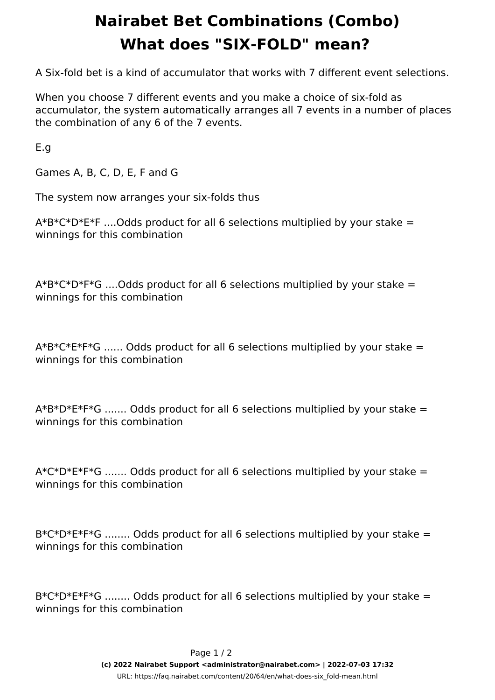## **Nairabet Bet Combinations (Combo) What does "SIX-FOLD" mean?**

A Six-fold bet is a kind of accumulator that works with 7 different event selections.

When you choose 7 different events and you make a choice of six-fold as accumulator, the system automatically arranges all 7 events in a number of places the combination of any 6 of the 7 events.

E.g

Games A, B, C, D, E, F and G

The system now arranges your six-folds thus

 $A*B*C*D*E*F$  .... Odds product for all 6 selections multiplied by your stake = winnings for this combination

 $A*B*C*D*F*G$  .... Odds product for all 6 selections multiplied by your stake = winnings for this combination

 $A*B*C*E*FG$  ...... Odds product for all 6 selections multiplied by your stake = winnings for this combination

 $A*B*B*E*F*G$  ....... Odds product for all 6 selections multiplied by your stake = winnings for this combination

A\*C\*D\*E\*F\*G ....... Odds product for all 6 selections multiplied by your stake = winnings for this combination

 $B*C*D*E*F*G$  ........ Odds product for all 6 selections multiplied by your stake = winnings for this combination

 $B*C*D*E*F*G$  ........ Odds product for all 6 selections multiplied by your stake = winnings for this combination

> Page 1 / 2 **(c) 2022 Nairabet Support <administrator@nairabet.com> | 2022-07-03 17:32** [URL: https://faq.nairabet.com/content/20/64/en/what-does-six\\_fold-mean.html](https://faq.nairabet.com/content/20/64/en/what-does-six_fold-mean.html)